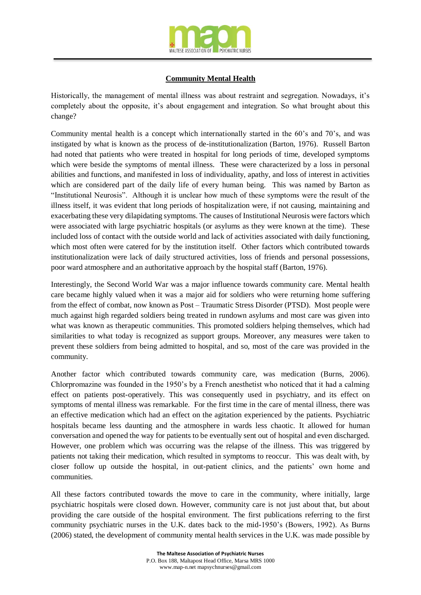

## **Community Mental Health**

Historically, the management of mental illness was about restraint and segregation. Nowadays, it's completely about the opposite, it's about engagement and integration. So what brought about this change?

Community mental health is a concept which internationally started in the 60's and 70's, and was instigated by what is known as the process of de-institutionalization (Barton, 1976). Russell Barton had noted that patients who were treated in hospital for long periods of time, developed symptoms which were beside the symptoms of mental illness. These were characterized by a loss in personal abilities and functions, and manifested in loss of individuality, apathy, and loss of interest in activities which are considered part of the daily life of every human being. This was named by Barton as "Institutional Neurosis". Although it is unclear how much of these symptoms were the result of the illness itself, it was evident that long periods of hospitalization were, if not causing, maintaining and exacerbating these very dilapidating symptoms. The causes of Institutional Neurosis were factors which were associated with large psychiatric hospitals (or asylums as they were known at the time). These included loss of contact with the outside world and lack of activities associated with daily functioning, which most often were catered for by the institution itself. Other factors which contributed towards institutionalization were lack of daily structured activities, loss of friends and personal possessions, poor ward atmosphere and an authoritative approach by the hospital staff (Barton, 1976).

Interestingly, the Second World War was a major influence towards community care. Mental health care became highly valued when it was a major aid for soldiers who were returning home suffering from the effect of combat, now known as Post – Traumatic Stress Disorder (PTSD). Most people were much against high regarded soldiers being treated in rundown asylums and most care was given into what was known as therapeutic communities. This promoted soldiers helping themselves, which had similarities to what today is recognized as support groups. Moreover, any measures were taken to prevent these soldiers from being admitted to hospital, and so, most of the care was provided in the community.

Another factor which contributed towards community care, was medication (Burns, 2006). Chlorpromazine was founded in the 1950's by a French anesthetist who noticed that it had a calming effect on patients post-operatively. This was consequently used in psychiatry, and its effect on symptoms of mental illness was remarkable. For the first time in the care of mental illness, there was an effective medication which had an effect on the agitation experienced by the patients. Psychiatric hospitals became less daunting and the atmosphere in wards less chaotic. It allowed for human conversation and opened the way for patients to be eventually sent out of hospital and even discharged. However, one problem which was occurring was the relapse of the illness. This was triggered by patients not taking their medication, which resulted in symptoms to reoccur. This was dealt with, by closer follow up outside the hospital, in out-patient clinics, and the patients' own home and communities.

All these factors contributed towards the move to care in the community, where initially, large psychiatric hospitals were closed down. However, community care is not just about that, but about providing the care outside of the hospital environment. The first publications referring to the first community psychiatric nurses in the U.K. dates back to the mid-1950's (Bowers, 1992). As Burns (2006) stated, the development of community mental health services in the U.K. was made possible by